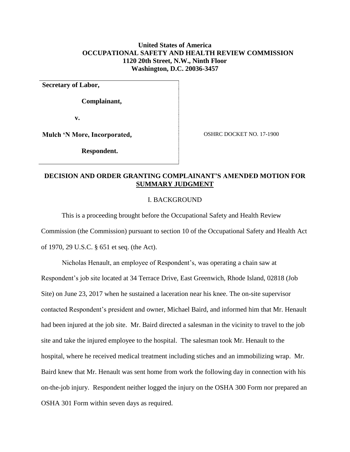## **United States of America OCCUPATIONAL SAFETY AND HEALTH REVIEW COMMISSION 1120 20th Street, N.W., Ninth Floor Washington, D.C. 20036-3457**

**Secretary of Labor,** 

 **Complainant,**

 **v.**

**Mulch 'N More, Incorporated,** 

 **Respondent.**

OSHRC DOCKET NO. 17-1900

### **DECISION AND ORDER GRANTING COMPLAINANT'S AMENDED MOTION FOR SUMMARY JUDGMENT**

#### I. BACKGROUND

This is a proceeding brought before the Occupational Safety and Health Review Commission (the Commission) pursuant to section 10 of the Occupational Safety and Health Act of 1970, 29 U.S.C. § 651 et seq. (the Act).

Nicholas Henault, an employee of Respondent's, was operating a chain saw at Respondent's job site located at 34 Terrace Drive, East Greenwich, Rhode Island, 02818 (Job Site) on June 23, 2017 when he sustained a laceration near his knee. The on-site supervisor contacted Respondent's president and owner, Michael Baird, and informed him that Mr. Henault had been injured at the job site. Mr. Baird directed a salesman in the vicinity to travel to the job site and take the injured employee to the hospital. The salesman took Mr. Henault to the hospital, where he received medical treatment including stiches and an immobilizing wrap. Mr. Baird knew that Mr. Henault was sent home from work the following day in connection with his on-the-job injury. Respondent neither logged the injury on the OSHA 300 Form nor prepared an OSHA 301 Form within seven days as required.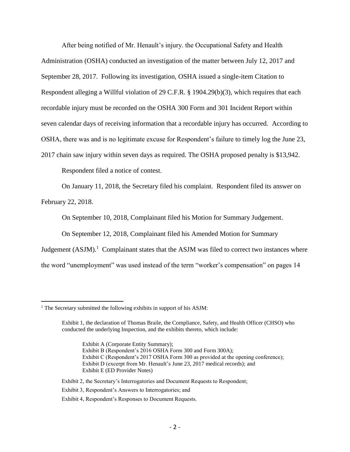After being notified of Mr. Henault's injury. the Occupational Safety and Health Administration (OSHA) conducted an investigation of the matter between July 12, 2017 and September 28, 2017. Following its investigation, OSHA issued a single-item Citation to Respondent alleging a Willful violation of 29 C.F.R. § 1904.29(b)(3), which requires that each recordable injury must be recorded on the OSHA 300 Form and 301 Incident Report within seven calendar days of receiving information that a recordable injury has occurred. According to OSHA, there was and is no legitimate excuse for Respondent's failure to timely log the June 23, 2017 chain saw injury within seven days as required. The OSHA proposed penalty is \$13,942.

Respondent filed a notice of contest.

On January 11, 2018, the Secretary filed his complaint. Respondent filed its answer on

February 22, 2018.

 $\overline{a}$ 

On September 10, 2018, Complainant filed his Motion for Summary Judgement.

On September 12, 2018, Complainant filed his Amended Motion for Summary

Judgement  $(ASJM)$ .<sup>1</sup> Complainant states that the ASJM was filed to correct two instances where the word "unemployment" was used instead of the term "worker's compensation" on pages 14

- Exhibit B (Respondent's 2016 OSHA Form 300 and Form 300A);
- Exhibit C (Respondent's 2017 OSHA Form 300 as provided at the opening conference);
- Exhibit D (excerpt from Mr. Henault's June 23, 2017 medical records); and Exhibit E (ED Provider Notes)
- Exhibit 2, the Secretary's Interrogatories and Document Requests to Respondent;
- Exhibit 3, Respondent's Answers to Interrogatories; and
- Exhibit 4, Respondent's Responses to Document Requests.

<sup>&</sup>lt;sup>1</sup> The Secretary submitted the following exhibits in support of his ASJM:

Exhibit 1, the declaration of Thomas Braile, the Compliance, Safety, and Health Officer (CHSO) who conducted the underlying Inspection, and the exhibits thereto, which include:

Exhibit A (Corporate Entity Summary);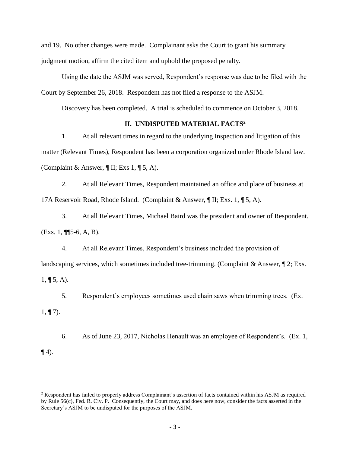and 19. No other changes were made. Complainant asks the Court to grant his summary judgment motion, affirm the cited item and uphold the proposed penalty.

Using the date the ASJM was served, Respondent's response was due to be filed with the Court by September 26, 2018. Respondent has not filed a response to the ASJM.

Discovery has been completed. A trial is scheduled to commence on October 3, 2018.

## **II. UNDISPUTED MATERIAL FACTS<sup>2</sup>**

1. At all relevant times in regard to the underlying Inspection and litigation of this matter (Relevant Times), Respondent has been a corporation organized under Rhode Island law. (Complaint & Answer,  $\P$  II; Exs 1,  $\P$  5, A).

2. At all Relevant Times, Respondent maintained an office and place of business at 17A Reservoir Road, Rhode Island. (Complaint & Answer, ¶ II; Exs. 1, ¶ 5, A).

3. At all Relevant Times, Michael Baird was the president and owner of Respondent. (Exs. 1, ¶¶5-6, A, B).

4. At all Relevant Times, Respondent's business included the provision of landscaping services, which sometimes included tree-trimming. (Complaint & Answer,  $\P$  2; Exs.  $1, \P 5, A$ ).

5. Respondent's employees sometimes used chain saws when trimming trees. (Ex.

 $1, \P 7$ .

 $\overline{a}$ 

6. As of June 23, 2017, Nicholas Henault was an employee of Respondent's. (Ex. 1*,*  $\P(4)$ .

<sup>2</sup> Respondent has failed to properly address Complainant's assertion of facts contained within his ASJM as required by Rule 56(c), Fed. R. Civ. P. Consequently, the Court may, and does here now, consider the facts asserted in the Secretary's ASJM to be undisputed for the purposes of the ASJM.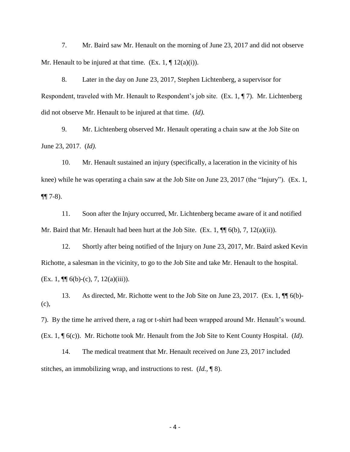7. Mr. Baird saw Mr. Henault on the morning of June 23, 2017 and did not observe Mr. Henault to be injured at that time. (Ex. 1, ¶ 12(a)(i)).

8. Later in the day on June 23, 2017, Stephen Lichtenberg, a supervisor for Respondent, traveled with Mr. Henault to Respondent's job site. (Ex. 1, ¶ 7). Mr. Lichtenberg did not observe Mr. Henault to be injured at that time. (*Id).*

9. Mr. Lichtenberg observed Mr. Henault operating a chain saw at the Job Site on June 23, 2017. (*Id).*

10. Mr. Henault sustained an injury (specifically, a laceration in the vicinity of his knee) while he was operating a chain saw at the Job Site on June 23, 2017 (the "Injury"). (Ex. 1, ¶¶ 7-8).

11. Soon after the Injury occurred, Mr. Lichtenberg became aware of it and notified Mr. Baird that Mr. Henault had been hurt at the Job Site. (Ex. 1,  $\P$  6(b), 7, 12(a)(ii)).

12. Shortly after being notified of the Injury on June 23, 2017, Mr. Baird asked Kevin Richotte, a salesman in the vicinity, to go to the Job Site and take Mr. Henault to the hospital. (Ex. 1,  $\P$  $(6(b)-(c), 7, 12(a)(iii))$ .

13. As directed, Mr. Richotte went to the Job Site on June 23, 2017. (Ex. 1,  $\P$  6(b)-(c),

7). By the time he arrived there, a rag or t-shirt had been wrapped around Mr. Henault's wound. (Ex. 1, ¶ 6(c)). Mr. Richotte took Mr. Henault from the Job Site to Kent County Hospital. (*Id).*

14. The medical treatment that Mr. Henault received on June 23, 2017 included stitches, an immobilizing wrap, and instructions to rest. (*Id.,* ¶ 8).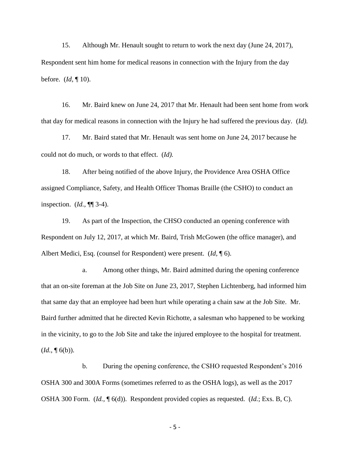15. Although Mr. Henault sought to return to work the next day (June 24, 2017), Respondent sent him home for medical reasons in connection with the Injury from the day before. (*Id,* ¶ 10).

16. Mr. Baird knew on June 24, 2017 that Mr. Henault had been sent home from work that day for medical reasons in connection with the Injury he had suffered the previous day. (*Id).*

17. Mr. Baird stated that Mr. Henault was sent home on June 24, 2017 because he could not do much, or words to that effect. (*Id).*

18. After being notified of the above Injury, the Providence Area OSHA Office assigned Compliance, Safety, and Health Officer Thomas Braille (the CSHO) to conduct an inspection. (*Id.,* ¶¶ 3-4).

19. As part of the Inspection, the CHSO conducted an opening conference with Respondent on July 12, 2017, at which Mr. Baird, Trish McGowen (the office manager), and Albert Medici, Esq. (counsel for Respondent) were present. (*Id,* ¶ 6).

a. Among other things, Mr. Baird admitted during the opening conference that an on-site foreman at the Job Site on June 23, 2017, Stephen Lichtenberg, had informed him that same day that an employee had been hurt while operating a chain saw at the Job Site. Mr. Baird further admitted that he directed Kevin Richotte, a salesman who happened to be working in the vicinity, to go to the Job Site and take the injured employee to the hospital for treatment.  $(Id, \P 6(b)).$ 

b. During the opening conference, the CSHO requested Respondent's 2016 OSHA 300 and 300A Forms (sometimes referred to as the OSHA logs), as well as the 2017 OSHA 300 Form. (*Id.,* ¶ 6(d)). Respondent provided copies as requested. (*Id.*; Exs. B, C).

- 5 -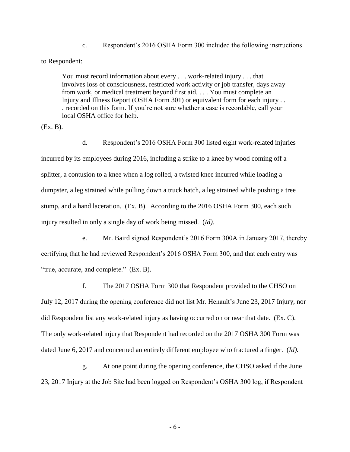c. Respondent's 2016 OSHA Form 300 included the following instructions

to Respondent:

You must record information about every . . . work-related injury . . . that involves loss of consciousness, restricted work activity or job transfer, days away from work, or medical treatment beyond first aid. . . . You must complete an Injury and Illness Report (OSHA Form 301) or equivalent form for each injury . . . recorded on this form. If you're not sure whether a case is recordable, call your local OSHA office for help.

(Ex. B).

d. Respondent's 2016 OSHA Form 300 listed eight work-related injuries incurred by its employees during 2016, including a strike to a knee by wood coming off a splitter, a contusion to a knee when a log rolled, a twisted knee incurred while loading a dumpster, a leg strained while pulling down a truck hatch, a leg strained while pushing a tree stump, and a hand laceration. (Ex. B). According to the 2016 OSHA Form 300, each such injury resulted in only a single day of work being missed. (*Id).*

e. Mr. Baird signed Respondent's 2016 Form 300A in January 2017, thereby certifying that he had reviewed Respondent's 2016 OSHA Form 300, and that each entry was "true, accurate, and complete." (Ex. B).

f. The 2017 OSHA Form 300 that Respondent provided to the CHSO on July 12, 2017 during the opening conference did not list Mr. Henault's June 23, 2017 Injury, nor did Respondent list any work-related injury as having occurred on or near that date. (Ex. C). The only work-related injury that Respondent had recorded on the 2017 OSHA 300 Form was dated June 6, 2017 and concerned an entirely different employee who fractured a finger. (*Id).*

g. At one point during the opening conference, the CHSO asked if the June 23, 2017 Injury at the Job Site had been logged on Respondent's OSHA 300 log, if Respondent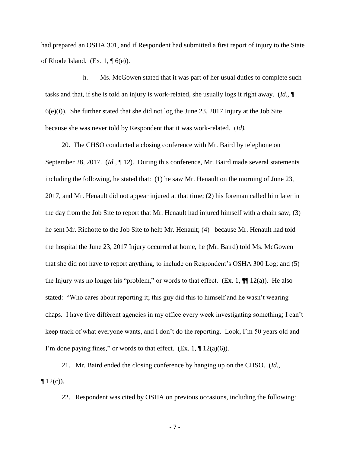had prepared an OSHA 301, and if Respondent had submitted a first report of injury to the State of Rhode Island. (Ex. 1,  $\P$  6(e)).

 h. Ms. McGowen stated that it was part of her usual duties to complete such tasks and that, if she is told an injury is work-related, she usually logs it right away. (*Id.,* ¶  $6(e)(i)$ . She further stated that she did not log the June 23, 2017 Injury at the Job Site because she was never told by Respondent that it was work-related. (*Id).*

20. The CHSO conducted a closing conference with Mr. Baird by telephone on September 28, 2017. (*Id.,* ¶ 12). During this conference, Mr. Baird made several statements including the following, he stated that: (1) he saw Mr. Henault on the morning of June 23, 2017, and Mr. Henault did not appear injured at that time; (2) his foreman called him later in the day from the Job Site to report that Mr. Henault had injured himself with a chain saw; (3) he sent Mr. Richotte to the Job Site to help Mr. Henault; (4) because Mr. Henault had told the hospital the June 23, 2017 Injury occurred at home, he (Mr. Baird) told Ms. McGowen that she did not have to report anything, to include on Respondent's OSHA 300 Log; and (5) the Injury was no longer his "problem," or words to that effect.  $(Ex. 1, \P\P 12(a))$ . He also stated: "Who cares about reporting it; this guy did this to himself and he wasn't wearing chaps. I have five different agencies in my office every week investigating something; I can't keep track of what everyone wants, and I don't do the reporting. Look, I'm 50 years old and I'm done paying fines," or words to that effect.  $(Ex. 1, \P 12(a)(6))$ .

21. Mr. Baird ended the closing conference by hanging up on the CHSO. (*Id.,*   $\P$  12(c)).

22. Respondent was cited by OSHA on previous occasions, including the following:

- 7 -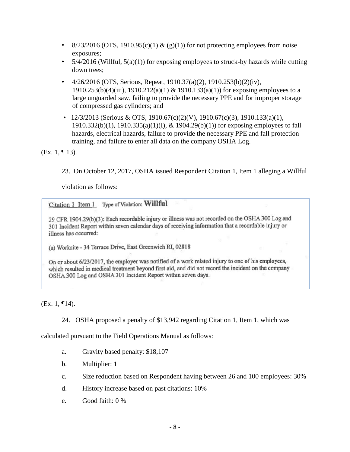- 8/23/2016 (OTS, 1910.95(c)(1) & (g)(1)) for not protecting employees from noise exposures;
- $5/4/2016$  (Willful,  $5(a)(1)$ ) for exposing employees to struck-by hazards while cutting down trees;
- $4/26/2016$  (OTS, Serious, Repeat, 1910.37(a)(2), 1910.253(b)(2)(iv), 1910.253(b)(4)(iii), 1910.212(a)(1) & 1910.133(a)(1)) for exposing employees to a large unguarded saw, failing to provide the necessary PPE and for improper storage of compressed gas cylinders; and
- 12/3/2013 (Serious & OTS, 1910.67(c)(2)(V), 1910.67(c)(3), 1910.133(a)(1), 1910.332(b)(1), 1910.335(a)(1)(I), & 1904.29(b)(1)) for exposing employees to fall hazards, electrical hazards, failure to provide the necessary PPE and fall protection training, and failure to enter all data on the company OSHA Log.

(Ex. 1, ¶ 13).

23. On October 12, 2017, OSHA issued Respondent Citation 1, Item 1 alleging a Willful

violation as follows:

Citation 1 Item 1 Type of Violation: Willful

29 CFR 1904.29(b)(3): Each recordable injury or illness was not recorded on the OSHA 300 Log and 301 Incident Report within seven calendar days of receiving information that a recordable injury or illness has occurred:

(a) Worksite - 34 Terrace Drive, East Greenwich RI, 02818

On or about 6/23/2017, the employer was notified of a work related injury to one of his employees, which resulted in medical treatment beyond first aid, and did not record the incident on the company OSHA 300 Log and OSHA 301 Incident Report within seven days.

(Ex. 1, ¶14).

24. OSHA proposed a penalty of \$13,942 regarding Citation 1, Item 1, which was

calculated pursuant to the Field Operations Manual as follows:

- a. Gravity based penalty: \$18,107
- b. Multiplier: 1
- c. Size reduction based on Respondent having between 26 and 100 employees: 30%
- d. History increase based on past citations: 10%
- e. Good faith: 0 %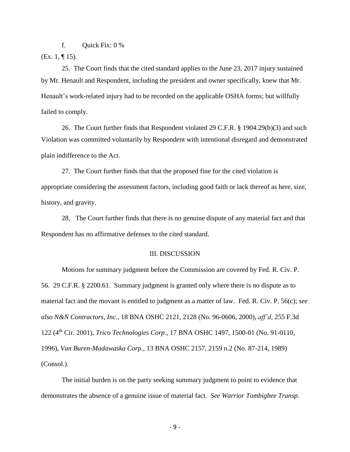f. Quick Fix: 0 %

(Ex. 1, ¶ 15).

25. The Court finds that the cited standard applies to the June 23, 2017 injury sustained by Mr. Henault and Respondent, including the president and owner specifically, knew that Mr. Henault's work-related injury had to be recorded on the applicable OSHA forms; but willfully failed to comply.

26. The Court further finds that Respondent violated 29 C.F.R. § 1904.29(b)(3) and such Violation was committed voluntarily by Respondent with intentional disregard and demonstrated plain indifference to the Act.

27. The Court further finds that that the proposed fine for the cited violation is appropriate considering the assessment factors, including good faith or lack thereof as here, size, history, and gravity.

28. The Court further finds that there is no genuine dispute of any material fact and that Respondent has no affirmative defenses to the cited standard.

#### III. DISCUSSION

Motions for summary judgment before the Commission are covered by Fed. R. Civ. P. 56. 29 C.F.R. § 2200.61. Summary judgment is granted only where there is no dispute as to material fact and the movant is entitled to judgment as a matter of law. [Fed. R. Civ. P. 56\(c\);](http://www.westlaw.com/Find/Default.wl?rs=dfa1.0&vr=2.0&DB=1004365&DocName=USFRCPR56&FindType=L) *see also N&N Contractors, Inc.*, 18 BNA OSHC 2121, 2128 (No. 96-0606, 2000), *aff'd*, 255 F.3d 122 (4th Cir. 2001), *[Trico Technologies Corp.](http://www.westlaw.com/Find/Default.wl?rs=dfa1.0&vr=2.0&DB=0003227&FindType=Y&SerialNum=1996594426)*[, 17 BNA OSHC 1497, 1500-01 \(](http://www.westlaw.com/Find/Default.wl?rs=dfa1.0&vr=2.0&DB=0003227&FindType=Y&SerialNum=1996594426)No. 91-0110, 1996), *[Van Buren-Madawaska Corp.](http://www.westlaw.com/Find/Default.wl?rs=dfa1.0&vr=2.0&DB=0003227&FindType=Y&SerialNum=1989379205)*[, 13 BNA OSHC 2157, 2159 n.2 \(](http://www.westlaw.com/Find/Default.wl?rs=dfa1.0&vr=2.0&DB=0003227&FindType=Y&SerialNum=1989379205)No. 87-214, 1989) (Consol.).

The initial burden is on the party seeking summary judgment to point to evidence that demonstrates the absence of a genuine issue of material fact. *See Warrior Tombigbee Transp.*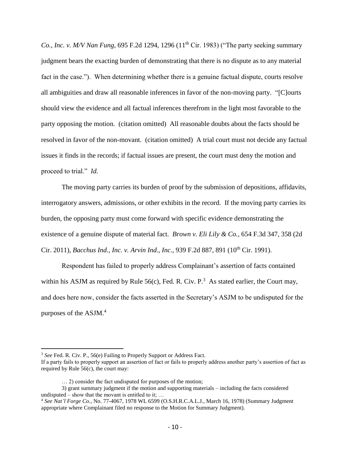*Co., Inc. v. M/V Nan Fung, 695 F.2d 1294, 1296 (11<sup>th</sup> Cir. 1983) ("The party seeking summary* judgment bears the exacting burden of demonstrating that there is no dispute as to any material fact in the case."). When determining whether there is a genuine factual dispute, courts resolve all ambiguities and draw all reasonable inferences in favor of the non-moving party. "[C]ourts should view the evidence and all factual inferences therefrom in the light most favorable to the party opposing the motion. (citation omitted) All reasonable doubts about the facts should be resolved in favor of the non-movant. (citation omitted) A trial court must not decide any factual issues it finds in the records; if factual issues are present, the court must deny the motion and proceed to trial." *Id.*

The moving party carries its burden of proof by the submission of depositions, affidavits, interrogatory answers, admissions, or other exhibits in the record. If the moving party carries its burden, the opposing party must come forward with specific evidence demonstrating the existence of a genuine dispute of material fact. *Brown v. Eli Lily & Co.*, 654 F.3d 347, 358 (2d Cir. 2011), *Bacchus Ind., Inc. v. Arvin Ind., Inc.*, 939 F.2d 887, 891 (10<sup>th</sup> Cir. 1991).

Respondent has failed to properly address Complainant's assertion of facts contained within his ASJM as required by Rule  $56(c)$ , Fed. R. Civ. P.<sup>3</sup> As stated earlier, the Court may, and does here now, consider the facts asserted in the Secretary's ASJM to be undisputed for the purposes of the ASJM. 4

 $\overline{a}$ 

<sup>&</sup>lt;sup>3</sup> *See* Fed. R. Civ. P., 56(e) Failing to Properly Support or Address Fact.

If a party fails to properly support an assertion of fact or fails to properly address another party's assertion of fact as required by Rule  $56(c)$ , the court may:

<sup>… 2)</sup> consider the fact undisputed for purposes of the motion;

<sup>3)</sup> grant summary judgment if the motion and supporting materials – including the facts considered undisputed – show that the movant is entitled to it;  $\dots$ 

<sup>4</sup> *See Nat'l Forge Co.*, No. 77-4067, 1978 WL 6599 (O.S.H.R.C.A.L.J., March 16, 1978) (Summary Judgment appropriate where Complainant filed no response to the Motion for Summary Judgment).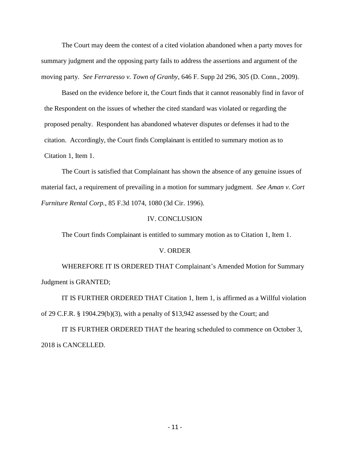The Court may deem the contest of a cited violation abandoned when a party moves for summary judgment and the opposing party fails to address the assertions and argument of the moving party. *See Ferraresso v. Town of Granby*, 646 F. Supp 2d 296, 305 (D. Conn., 2009).

Based on the evidence before it, the Court finds that it cannot reasonably find in favor of the Respondent on the issues of whether the cited standard was violated or regarding the proposed penalty. Respondent has abandoned whatever disputes or defenses it had to the citation. Accordingly, the Court finds Complainant is entitled to summary motion as to Citation 1, Item 1.

The Court is satisfied that Complainant has shown the absence of any genuine issues of material fact, a requirement of prevailing in a motion for summary judgment. *See Aman v. Cort Furniture Rental Corp.*, 85 F.3d 1074, 1080 (3d Cir. 1996).

#### IV. CONCLUSION

The Court finds Complainant is entitled to summary motion as to Citation 1, Item 1.

#### V. ORDER

WHEREFORE IT IS ORDERED THAT Complainant's Amended Motion for Summary Judgment is GRANTED;

IT IS FURTHER ORDERED THAT Citation 1, Item 1, is affirmed as a Willful violation of 29 C.F.R. § 1904.29(b)(3), with a penalty of \$13,942 assessed by the Court; and

IT IS FURTHER ORDERED THAT the hearing scheduled to commence on October 3, 2018 is CANCELLED.